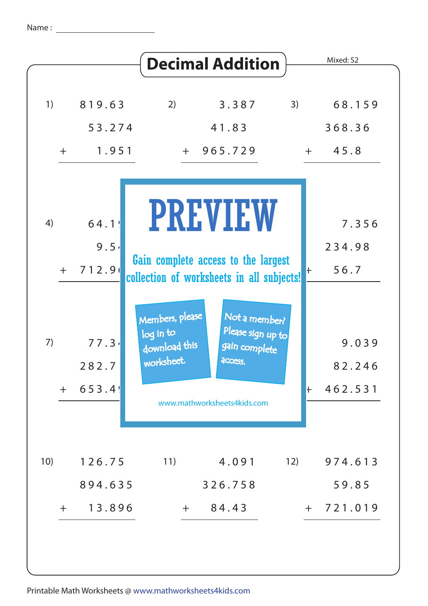| 1)<br>2)<br>3)<br>68.159<br>819.63<br>3.387<br>53.274<br>41.83<br>368.36<br>1.951<br>$+ 965.729$<br>45.8<br>$+$<br>$+$<br><b>PREVIEW</b><br>64.1!<br>4)<br>7.356<br>9.54<br>234.98<br>Gain complete access to the largest<br>712.90<br>56.7<br>$+$<br>$\vdash$<br>collection of worksheets in all subjects! |  | <b>Decimal Addition</b> | Mixed: S2 |
|-------------------------------------------------------------------------------------------------------------------------------------------------------------------------------------------------------------------------------------------------------------------------------------------------------------|--|-------------------------|-----------|
|                                                                                                                                                                                                                                                                                                             |  |                         |           |
|                                                                                                                                                                                                                                                                                                             |  |                         |           |
|                                                                                                                                                                                                                                                                                                             |  |                         |           |
|                                                                                                                                                                                                                                                                                                             |  |                         |           |
| Members, please<br>Not a member?<br>Please sign up to<br>log in to<br>7)<br>77.34<br>9.039<br>download this<br>gain complete<br>worksheet.<br>access.                                                                                                                                                       |  |                         |           |
| 282.7<br>82.246<br>653.4<br>462.531<br>$+$<br>$\mathsf{+}$<br>www.mathworksheets4kids.com                                                                                                                                                                                                                   |  |                         |           |
| 10)<br>11)<br>4.091<br>12)<br>974.613<br>126.75<br>326.758<br>59.85<br>894.635<br>13.896<br>84.43<br>721.019<br>$+$<br>$+$<br>$+$                                                                                                                                                                           |  |                         |           |